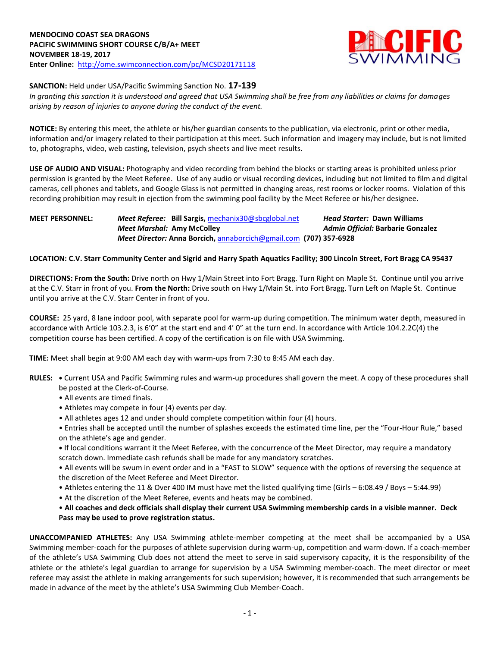

## **SANCTION:** Held under USA/Pacific Swimming Sanction No. **17-139**

*In granting this sanction it is understood and agreed that USA Swimming shall be free from any liabilities or claims for damages arising by reason of injuries to anyone during the conduct of the event.*

**NOTICE:** By entering this meet, the athlete or his/her guardian consents to the publication, via electronic, print or other media, information and/or imagery related to their participation at this meet. Such information and imagery may include, but is not limited to, photographs, video, web casting, television, psych sheets and live meet results.

**USE OF AUDIO AND VISUAL:** Photography and video recording from behind the blocks or starting areas is prohibited unless prior permission is granted by the Meet Referee. Use of any audio or visual recording devices, including but not limited to film and digital cameras, cell phones and tablets, and Google Glass is not permitted in changing areas, rest rooms or locker rooms. Violation of this recording prohibition may result in ejection from the swimming pool facility by the Meet Referee or his/her designee.

**MEET PERSONNEL:** *Meet Referee:* **Bill Sargis,** [mechanix30@sbcglobal.net](mailto:mechanix30@sbcglobal.net) *Head Starter:* **Dawn Williams** *Meet Marshal:* **Amy McColley** *Admin Official:* **Barbarie Gonzalez** *Meet Director:* **Anna Borcich,** [annaborcich@gmail.com](mailto:annaborcich@gmail.com) **(707) 357-6928**

## **LOCATION: C.V. Starr Community Center and Sigrid and Harry Spath Aquatics Facility; 300 Lincoln Street, Fort Bragg CA 95437**

**DIRECTIONS: From the South:** Drive north on Hwy 1/Main Street into Fort Bragg. Turn Right on Maple St. Continue until you arrive at the C.V. Starr in front of you. **From the North:** Drive south on Hwy 1/Main St. into Fort Bragg. Turn Left on Maple St. Continue until you arrive at the C.V. Starr Center in front of you.

**COURSE:** 25 yard, 8 lane indoor pool, with separate pool for warm-up during competition. The minimum water depth, measured in accordance with Article 103.2.3, is 6'0" at the start end and 4' 0" at the turn end. In accordance with Article 104.2.2C(4) the competition course has been certified. A copy of the certification is on file with USA Swimming.

**TIME:** Meet shall begin at 9:00 AM each day with warm-ups from 7:30 to 8:45 AM each day.

- **RULES: •** Current USA and Pacific Swimming rules and warm-up procedures shall govern the meet. A copy of these procedures shall be posted at the Clerk-of-Course.
	- All events are timed finals.
	- Athletes may compete in four (4) events per day.
	- All athletes ages 12 and under should complete competition within four (4) hours.

• Entries shall be accepted until the number of splashes exceeds the estimated time line, per the "Four-Hour Rule," based on the athlete's age and gender.

**•** If local conditions warrant it the Meet Referee, with the concurrence of the Meet Director, may require a mandatory scratch down. Immediate cash refunds shall be made for any mandatory scratches.

• All events will be swum in event order and in a "FAST to SLOW" sequence with the options of reversing the sequence at the discretion of the Meet Referee and Meet Director.

- Athletes entering the 11 & Over 400 IM must have met the listed qualifying time (Girls 6:08.49 / Boys 5:44.99)
- At the discretion of the Meet Referee, events and heats may be combined.

• **All coaches and deck officials shall display their current USA Swimming membership cards in a visible manner. Deck Pass may be used to prove registration status.**

**UNACCOMPANIED ATHLETES:** Any USA Swimming athlete-member competing at the meet shall be accompanied by a USA Swimming member-coach for the purposes of athlete supervision during warm-up, competition and warm-down. If a coach-member of the athlete's USA Swimming Club does not attend the meet to serve in said supervisory capacity, it is the responsibility of the athlete or the athlete's legal guardian to arrange for supervision by a USA Swimming member-coach. The meet director or meet referee may assist the athlete in making arrangements for such supervision; however, it is recommended that such arrangements be made in advance of the meet by the athlete's USA Swimming Club Member-Coach.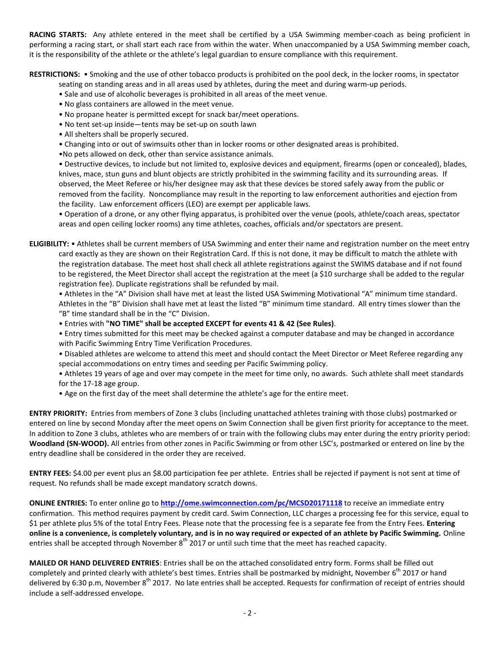**RACING STARTS:** Any athlete entered in the meet shall be certified by a USA Swimming member-coach as being proficient in performing a racing start, or shall start each race from within the water. When unaccompanied by a USA Swimming member coach, it is the responsibility of the athlete or the athlete's legal guardian to ensure compliance with this requirement.

**RESTRICTIONS:** • Smoking and the use of other tobacco products is prohibited on the pool deck, in the locker rooms, in spectator

seating on standing areas and in all areas used by athletes, during the meet and during warm-up periods.

- Sale and use of alcoholic beverages is prohibited in all areas of the meet venue.
- No glass containers are allowed in the meet venue.
- No propane heater is permitted except for snack bar/meet operations.
- No tent set-up inside—tents may be set-up on south lawn
- All shelters shall be properly secured.
- Changing into or out of swimsuits other than in locker rooms or other designated areas is prohibited.
- •No pets allowed on deck, other than service assistance animals.

• Destructive devices, to include but not limited to, explosive devices and equipment, firearms (open or concealed), blades, knives, mace, stun guns and blunt objects are strictly prohibited in the swimming facility and its surrounding areas. If observed, the Meet Referee or his/her designee may ask that these devices be stored safely away from the public or removed from the facility. Noncompliance may result in the reporting to law enforcement authorities and ejection from the facility. Law enforcement officers (LEO) are exempt per applicable laws.

• Operation of a drone, or any other flying apparatus, is prohibited over the venue (pools, athlete/coach areas, spectator areas and open ceiling locker rooms) any time athletes, coaches, officials and/or spectators are present.

**ELIGIBILITY:** • Athletes shall be current members of USA Swimming and enter their name and registration number on the meet entry card exactly as they are shown on their Registration Card. If this is not done, it may be difficult to match the athlete with the registration database. The meet host shall check all athlete registrations against the SWIMS database and if not found to be registered, the Meet Director shall accept the registration at the meet (a \$10 surcharge shall be added to the regular registration fee). Duplicate registrations shall be refunded by mail.

• Athletes in the "A" Division shall have met at least the listed USA Swimming Motivational "A" minimum time standard. Athletes in the "B" Division shall have met at least the listed "B" minimum time standard. All entry times slower than the "B" time standard shall be in the "C" Division.

• Entries with **"NO TIME" shall be accepted EXCEPT for events 41 & 42 (See Rules)**.

• Entry times submitted for this meet may be checked against a computer database and may be changed in accordance with Pacific Swimming Entry Time Verification Procedures.

• Disabled athletes are welcome to attend this meet and should contact the Meet Director or Meet Referee regarding any special accommodations on entry times and seeding per Pacific Swimming policy.

• Athletes 19 years of age and over may compete in the meet for time only, no awards. Such athlete shall meet standards for the 17-18 age group.

• Age on the first day of the meet shall determine the athlete's age for the entire meet.

**ENTRY PRIORITY:** Entries from members of Zone 3 clubs (including unattached athletes training with those clubs) postmarked or entered on line by second Monday after the meet opens on Swim Connection shall be given first priority for acceptance to the meet. In addition to Zone 3 clubs, athletes who are members of or train with the following clubs may enter during the entry priority period: **Woodland (SN-WOOD).** All entries from other zones in Pacific Swimming or from other LSC's, postmarked or entered on line by the entry deadline shall be considered in the order they are received.

**ENTRY FEES:** \$4.00 per event plus an \$8.00 participation fee per athlete. Entries shall be rejected if payment is not sent at time of request. No refunds shall be made except mandatory scratch downs.

**ONLINE ENTRIES:** To enter online go to **<http://ome.swimconnection.com/pc/MCSD20171118>** to receive an immediate entry confirmation. This method requires payment by credit card. Swim Connection, LLC charges a processing fee for this service, equal to \$1 per athlete plus 5% of the total Entry Fees. Please note that the processing fee is a separate fee from the Entry Fees. **Entering online is a convenience, is completely voluntary, and is in no way required or expected of an athlete by Pacific Swimming.** Online entries shall be accepted through November 8<sup>th</sup> 2017 or until such time that the meet has reached capacity.

**MAILED OR HAND DELIVERED ENTRIES**: Entries shall be on the attached consolidated entry form. Forms shall be filled out completely and printed clearly with athlete's best times. Entries shall be postmarked by midnight, November 6<sup>th</sup> 2017 or hand delivered by 6:30 p.m, November 8<sup>th</sup> 2017. No late entries shall be accepted. Requests for confirmation of receipt of entries should include a self-addressed envelope.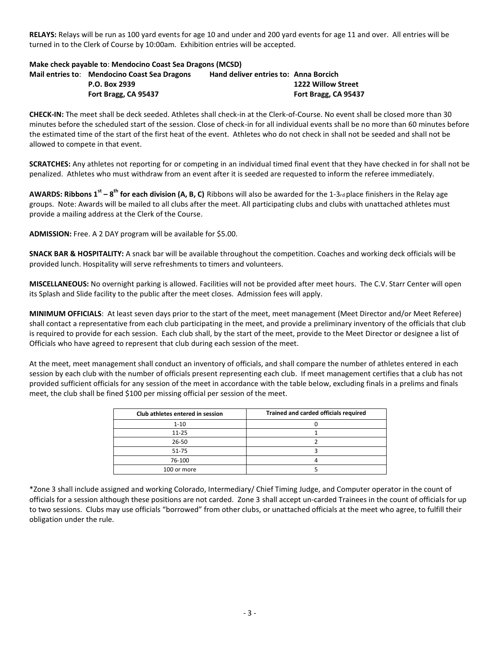**RELAYS:** Relays will be run as 100 yard events for age 10 and under and 200 yard events for age 11 and over. All entries will be turned in to the Clerk of Course by 10:00am. Exhibition entries will be accepted.

#### **Make check payable to**: **Mendocino Coast Sea Dragons (MCSD)**

| Mail entries to: Mendocino Coast Sea Dragons | <b>Hand deliver entries to: Anna Borcich</b> |                      |
|----------------------------------------------|----------------------------------------------|----------------------|
| P.O. Box 2939                                |                                              | 1222 Willow Street   |
| Fort Bragg, CA 95437                         |                                              | Fort Bragg, CA 95437 |

**CHECK-IN:** The meet shall be deck seeded. Athletes shall check-in at the Clerk-of-Course. No event shall be closed more than 30 minutes before the scheduled start of the session. Close of check-in for all individual events shall be no more than 60 minutes before the estimated time of the start of the first heat of the event. Athletes who do not check in shall not be seeded and shall not be allowed to compete in that event.

**SCRATCHES:** Any athletes not reporting for or competing in an individual timed final event that they have checked in for shall not be penalized. Athletes who must withdraw from an event after it is seeded are requested to inform the referee immediately.

**AWARDS: Ribbons 1<sup>st</sup> – 8<sup>th</sup> for each division (A, B, C)** Ribbons will also be awarded for the 1-3rd place finishers in the Relay age groups. Note: Awards will be mailed to all clubs after the meet. All participating clubs and clubs with unattached athletes must provide a mailing address at the Clerk of the Course.

**ADMISSION:** Free. A 2 DAY program will be available for \$5.00.

**SNACK BAR & HOSPITALITY:** A snack bar will be available throughout the competition. Coaches and working deck officials will be provided lunch. Hospitality will serve refreshments to timers and volunteers.

**MISCELLANEOUS:** No overnight parking is allowed. Facilities will not be provided after meet hours. The C.V. Starr Center will open its Splash and Slide facility to the public after the meet closes. Admission fees will apply.

**MINIMUM OFFICIALS**: At least seven days prior to the start of the meet, meet management (Meet Director and/or Meet Referee) shall contact a representative from each club participating in the meet, and provide a preliminary inventory of the officials that club is required to provide for each session. Each club shall, by the start of the meet, provide to the Meet Director or designee a list of Officials who have agreed to represent that club during each session of the meet.

At the meet, meet management shall conduct an inventory of officials, and shall compare the number of athletes entered in each session by each club with the number of officials present representing each club. If meet management certifies that a club has not provided sufficient officials for any session of the meet in accordance with the table below, excluding finals in a prelims and finals meet, the club shall be fined \$100 per missing official per session of the meet.

| Club athletes entered in session | Trained and carded officials required |
|----------------------------------|---------------------------------------|
| $1 - 10$                         |                                       |
| $11 - 25$                        |                                       |
| $26 - 50$                        |                                       |
| 51-75                            |                                       |
| 76-100                           |                                       |
| 100 or more                      |                                       |

\*Zone 3 shall include assigned and working Colorado, Intermediary/ Chief Timing Judge, and Computer operator in the count of officials for a session although these positions are not carded. Zone 3 shall accept un-carded Trainees in the count of officials for up to two sessions. Clubs may use officials "borrowed" from other clubs, or unattached officials at the meet who agree, to fulfill their obligation under the rule.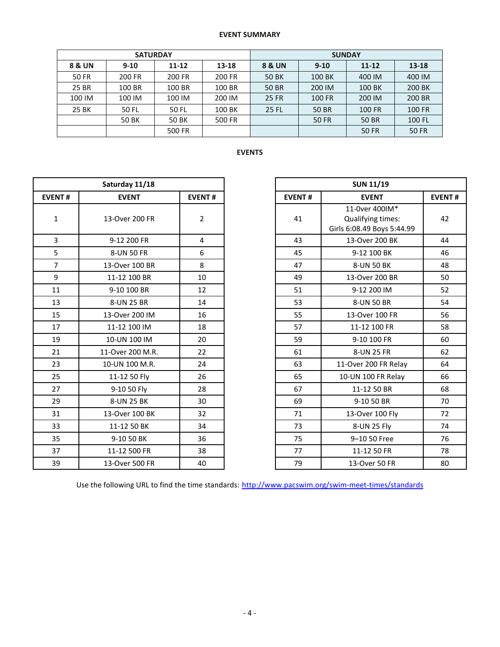## **EVENT SUMMARY**

|              | <b>SATURDAY</b> |                    |        | <b>SUNDAY</b> |          |               |              |  |  |
|--------------|-----------------|--------------------|--------|---------------|----------|---------------|--------------|--|--|
| 8 & UN       | $9 - 10$        | $11 - 12$<br>13-18 |        | 8 & UN        | $9 - 10$ | $11 - 12$     | 13-18        |  |  |
| <b>50 FR</b> | 200 FR          | 200 FR             | 200 FR | 50 BK         | 100 BK   | 400 IM        | 400 IM       |  |  |
| 25 BR        | 100 BR          | 100 BR             | 100 BR | <b>50 BR</b>  | 200 IM   | 100 BK        | 200 BK       |  |  |
| 100 IM       | 100 IM          | 100 IM             | 200 IM | <b>25 FR</b>  | 100 FR   | 200 IM        | 200 BR       |  |  |
| 25 BK        | 50 FL           | 50 FL              | 100 BK | 25 FL         | 50 BR    | <b>100 FR</b> | 100 FR       |  |  |
|              | <b>50 BK</b>    | <b>50 BK</b>       | 500 FR |               | 50 FR    | <b>50 BR</b>  | 100 FL       |  |  |
|              |                 | 500 FR             |        |               |          | <b>50 FR</b>  | <b>50 FR</b> |  |  |

# **EVENTS**

|                | Saturday 11/18   |                |               |
|----------------|------------------|----------------|---------------|
| <b>EVENT#</b>  | <b>EVENT</b>     | <b>EVENT#</b>  | <b>EVENT#</b> |
| $\mathbf{1}$   | 13-Over 200 FR   | $\overline{2}$ | 41            |
| $\overline{3}$ | 9-12 200 FR      | 4              | 43            |
| 5              | 8-UN 50 FR       | 6              | 45            |
| $\overline{7}$ | 13-Over 100 BR   | 8              | 47            |
| 9              | 11-12 100 BR     | 10             | 49            |
| 11             | 9-10 100 BR      | 12             | 51            |
| 13             | 8-UN 25 BR       | 14             | 53            |
| 15             | 13-Over 200 IM   | 16             | 55            |
| 17             | 11-12 100 IM     | 18             | 57            |
| 19             | 10-UN 100 IM     | 20             | 59            |
| 21             | 11-Over 200 M.R. | 22             | 61            |
| 23             | 10-UN 100 M.R.   | 24             | 63            |
| 25             | 11-12 50 Fly     | 26             | 65            |
| 27             | 9-10 50 Fly      | 28             | 67            |
| 29             | 8-UN 25 BK       | 30             | 69            |
| 31             | 13-Over 100 BK   | 32             | 71            |
| 33             | 11-12 50 BK      | 34             | 73            |
| 35             | 9-10 50 BK       | 36             | 75            |
| 37             | 11-12 500 FR     | 38             | 77            |
| 39             | 13-Over 500 FR   | 40             | 79            |

| Saturday 11/18 |                  |                |
|----------------|------------------|----------------|
| <b>EVENT#</b>  | <b>EVENT</b>     | <b>EVENT#</b>  |
| $\mathbf 1$    | 13-Over 200 FR   | $\overline{2}$ |
| 3              | 9-12 200 FR      | $\overline{4}$ |
| 5              | 8-UN 50 FR       | 6              |
| $\overline{7}$ | 13-Over 100 BR   | 8              |
| 9              | 11-12 100 BR     | 10             |
| 11             | 9-10 100 BR      | 12             |
| 13             | 8-UN 25 BR       | 14             |
| 15             | 13-Over 200 IM   | 16             |
| 17             | 11-12 100 IM     | 18             |
| 19             | 10-UN 100 IM     | 20             |
| 21             | 11-Over 200 M.R. | 22             |
| 23             | 10-UN 100 M.R.   | 24             |
| 25             | 11-12 50 Fly     | 26             |
| 27             | 9-10 50 Fly      | 28             |
| 29             | 8-UN 25 BK       | 30             |
| 31             | 13-Over 100 BK   | 32             |
| 33             | 11-12 50 BK      | 34             |
| 35             | 9-10 50 BK       | 36             |
| 37             | 11-12 500 FR     | 38             |
| 39             | 13-Over 500 FR   | 40             |

Use the following URL to find the time standards: <http://www.pacswim.org/swim-meet-times/standards>